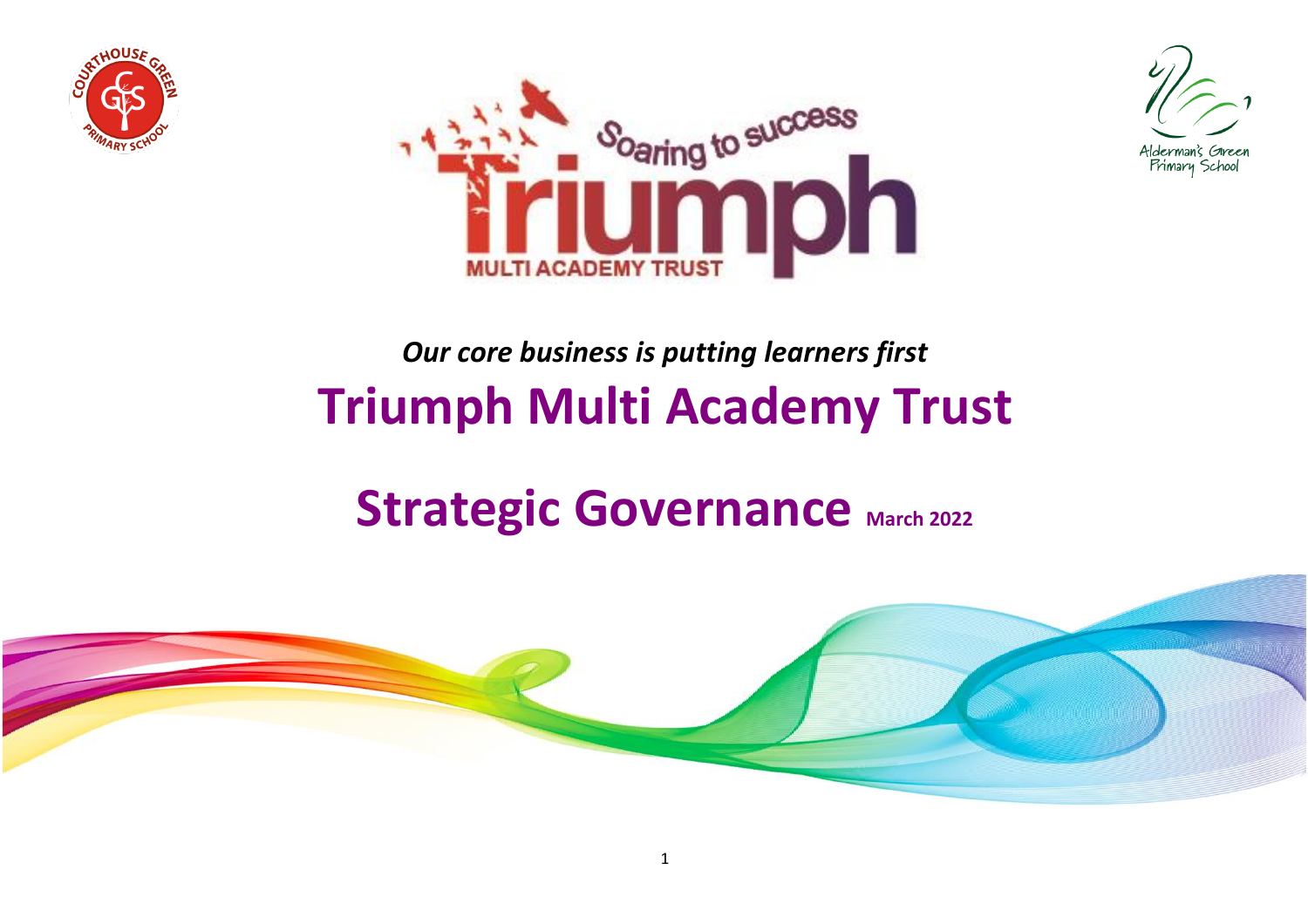





## *Our core business is putting learners first* **Triumph Multi Academy Trust**

# **Strategic Governance March 2022**

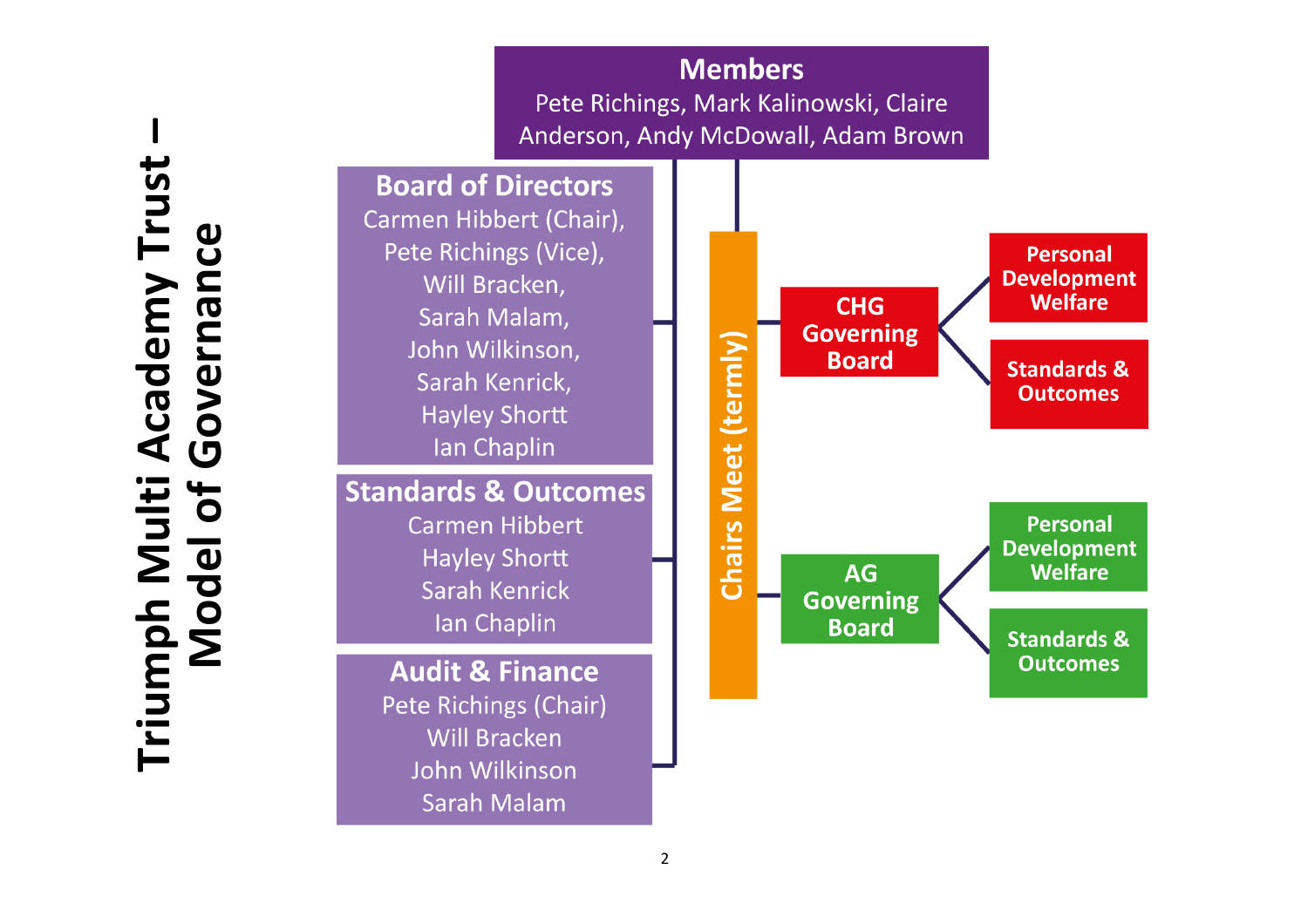**Triumph Multi Academy Trust – Academy Trust** Governance **Model of Governance**Triumph Multi /<br>Model of C

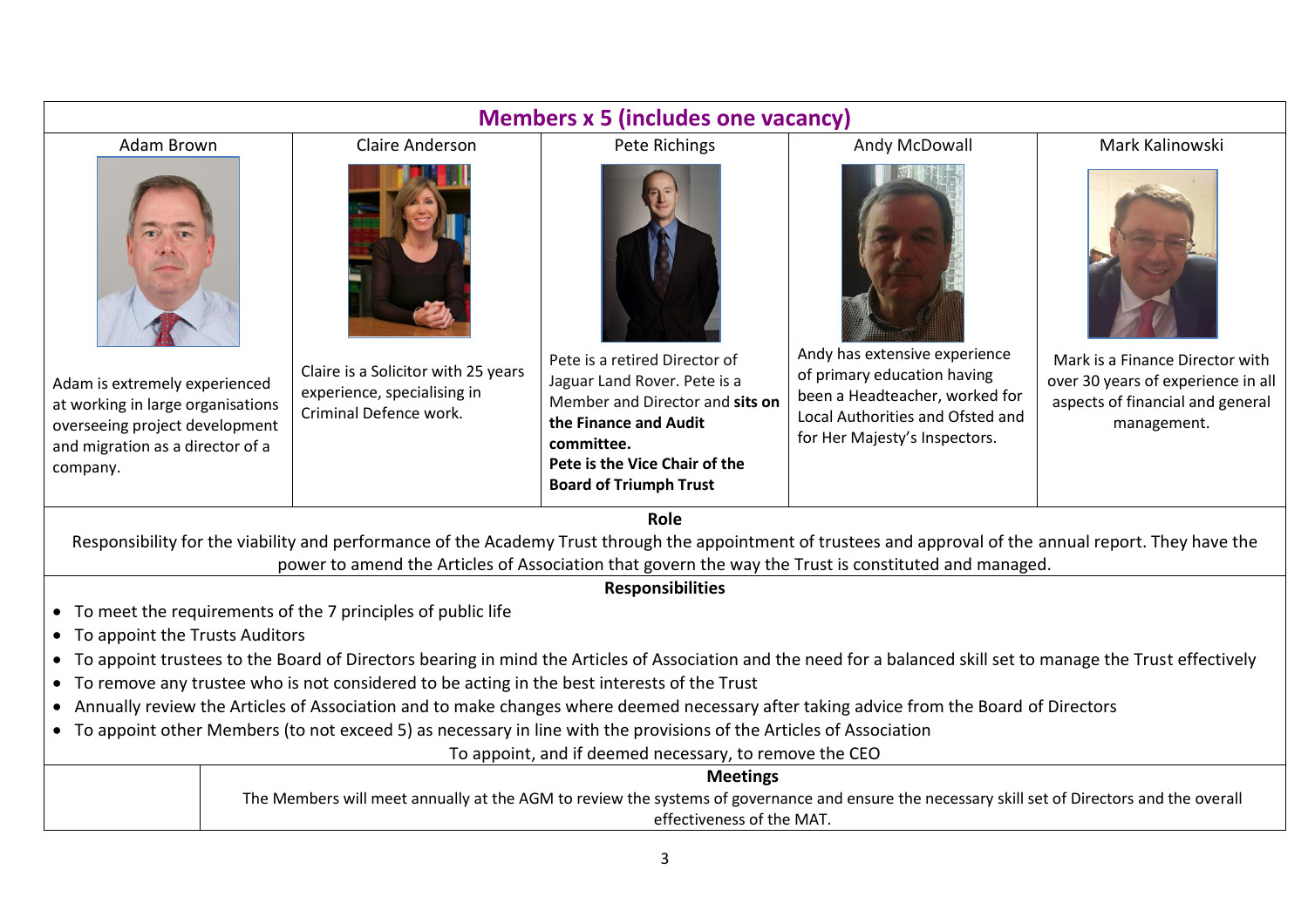| <b>Members x 5 (includes one vacancy)</b>                                                                                                                                                                                                                          |                                                                                              |                                                                                                                                                                                                           |                                                                                                                                                                     |                                                                                                                          |  |  |
|--------------------------------------------------------------------------------------------------------------------------------------------------------------------------------------------------------------------------------------------------------------------|----------------------------------------------------------------------------------------------|-----------------------------------------------------------------------------------------------------------------------------------------------------------------------------------------------------------|---------------------------------------------------------------------------------------------------------------------------------------------------------------------|--------------------------------------------------------------------------------------------------------------------------|--|--|
| Adam Brown                                                                                                                                                                                                                                                         | <b>Claire Anderson</b>                                                                       | Pete Richings                                                                                                                                                                                             | Andy McDowall                                                                                                                                                       | Mark Kalinowski                                                                                                          |  |  |
|                                                                                                                                                                                                                                                                    |                                                                                              |                                                                                                                                                                                                           |                                                                                                                                                                     |                                                                                                                          |  |  |
| Adam is extremely experienced<br>at working in large organisations<br>overseeing project development<br>and migration as a director of a<br>company.                                                                                                               | Claire is a Solicitor with 25 years<br>experience, specialising in<br>Criminal Defence work. | Pete is a retired Director of<br>Jaguar Land Rover. Pete is a<br>Member and Director and sits on<br>the Finance and Audit<br>committee.<br>Pete is the Vice Chair of the<br><b>Board of Triumph Trust</b> | Andy has extensive experience<br>of primary education having<br>been a Headteacher, worked for<br>Local Authorities and Ofsted and<br>for Her Majesty's Inspectors. | Mark is a Finance Director with<br>over 30 years of experience in all<br>aspects of financial and general<br>management. |  |  |
| Role<br>Responsibility for the viability and performance of the Academy Trust through the appointment of trustees and approval of the annual report. They have the                                                                                                 |                                                                                              |                                                                                                                                                                                                           |                                                                                                                                                                     |                                                                                                                          |  |  |
| power to amend the Articles of Association that govern the way the Trust is constituted and managed.                                                                                                                                                               |                                                                                              |                                                                                                                                                                                                           |                                                                                                                                                                     |                                                                                                                          |  |  |
| <b>Responsibilities</b>                                                                                                                                                                                                                                            |                                                                                              |                                                                                                                                                                                                           |                                                                                                                                                                     |                                                                                                                          |  |  |
| • To meet the requirements of the 7 principles of public life                                                                                                                                                                                                      |                                                                                              |                                                                                                                                                                                                           |                                                                                                                                                                     |                                                                                                                          |  |  |
| • To appoint the Trusts Auditors                                                                                                                                                                                                                                   |                                                                                              |                                                                                                                                                                                                           |                                                                                                                                                                     |                                                                                                                          |  |  |
| • To appoint trustees to the Board of Directors bearing in mind the Articles of Association and the need for a balanced skill set to manage the Trust effectively<br>• To remove any trustee who is not considered to be acting in the best interests of the Trust |                                                                                              |                                                                                                                                                                                                           |                                                                                                                                                                     |                                                                                                                          |  |  |
| • Annually review the Articles of Association and to make changes where deemed necessary after taking advice from the Board of Directors                                                                                                                           |                                                                                              |                                                                                                                                                                                                           |                                                                                                                                                                     |                                                                                                                          |  |  |
| • To appoint other Members (to not exceed 5) as necessary in line with the provisions of the Articles of Association                                                                                                                                               |                                                                                              |                                                                                                                                                                                                           |                                                                                                                                                                     |                                                                                                                          |  |  |
| To appoint, and if deemed necessary, to remove the CEO                                                                                                                                                                                                             |                                                                                              |                                                                                                                                                                                                           |                                                                                                                                                                     |                                                                                                                          |  |  |
| <b>Meetings</b>                                                                                                                                                                                                                                                    |                                                                                              |                                                                                                                                                                                                           |                                                                                                                                                                     |                                                                                                                          |  |  |
| The Members will meet annually at the AGM to review the systems of governance and ensure the necessary skill set of Directors and the overall<br>effectiveness of the MAT.                                                                                         |                                                                                              |                                                                                                                                                                                                           |                                                                                                                                                                     |                                                                                                                          |  |  |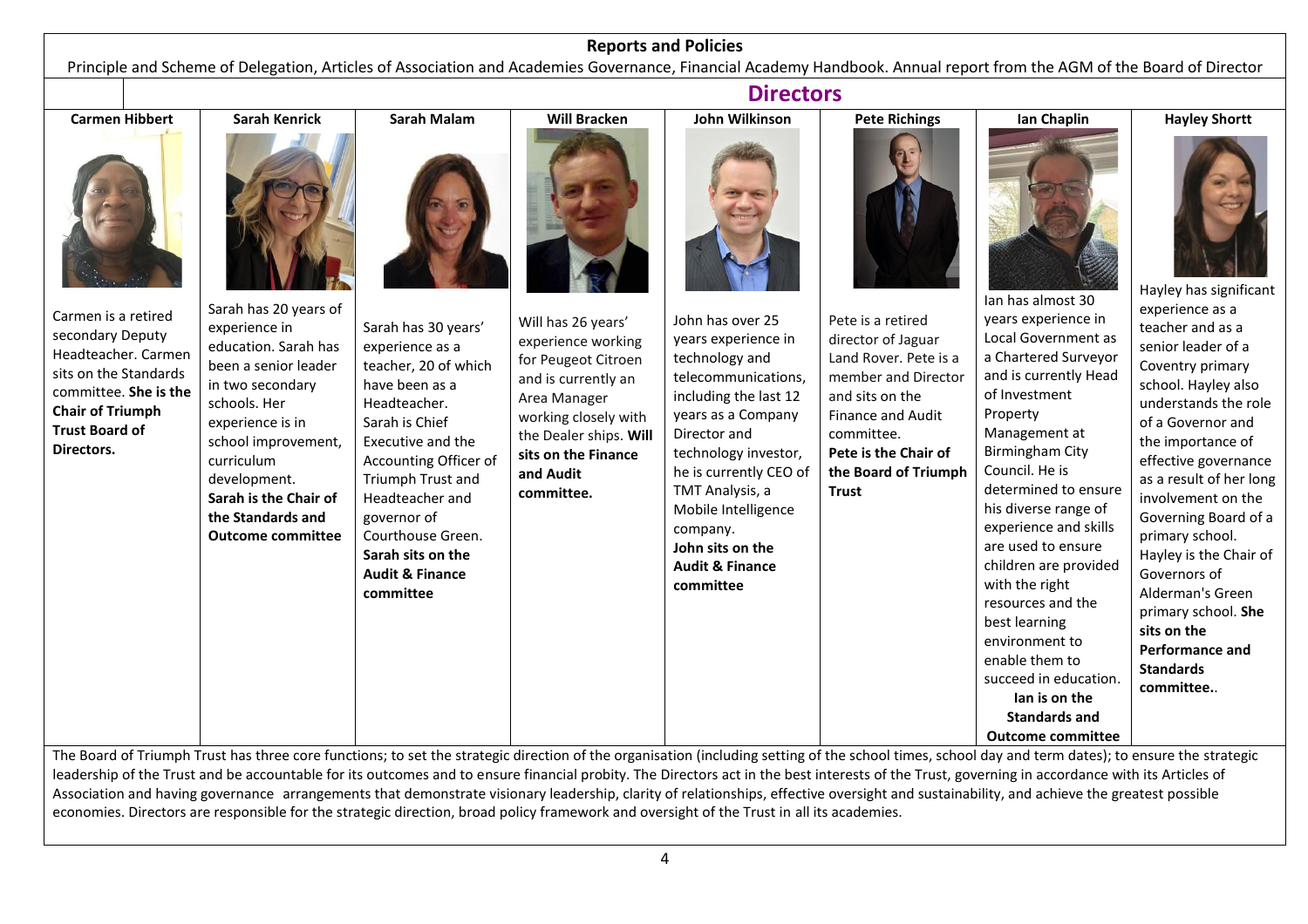#### **Reports and Policies**

Principle and Scheme of Delegation, Articles of Association and Academies Governance, Financial Academy Handbook. Annual report from the AGM of the Board of Director

leadership of the Trust and be accountable for its outcomes and to ensure financial probity. The Directors act in the best interests of the Trust, governing in accordance with its Articles of Association and having governance arrangements that demonstrate visionary leadership, clarity of relationships, effective oversight and sustainability, and achieve the greatest possible economies. Directors are responsible for the strategic direction, broad policy framework and oversight of the Trust in all its academies.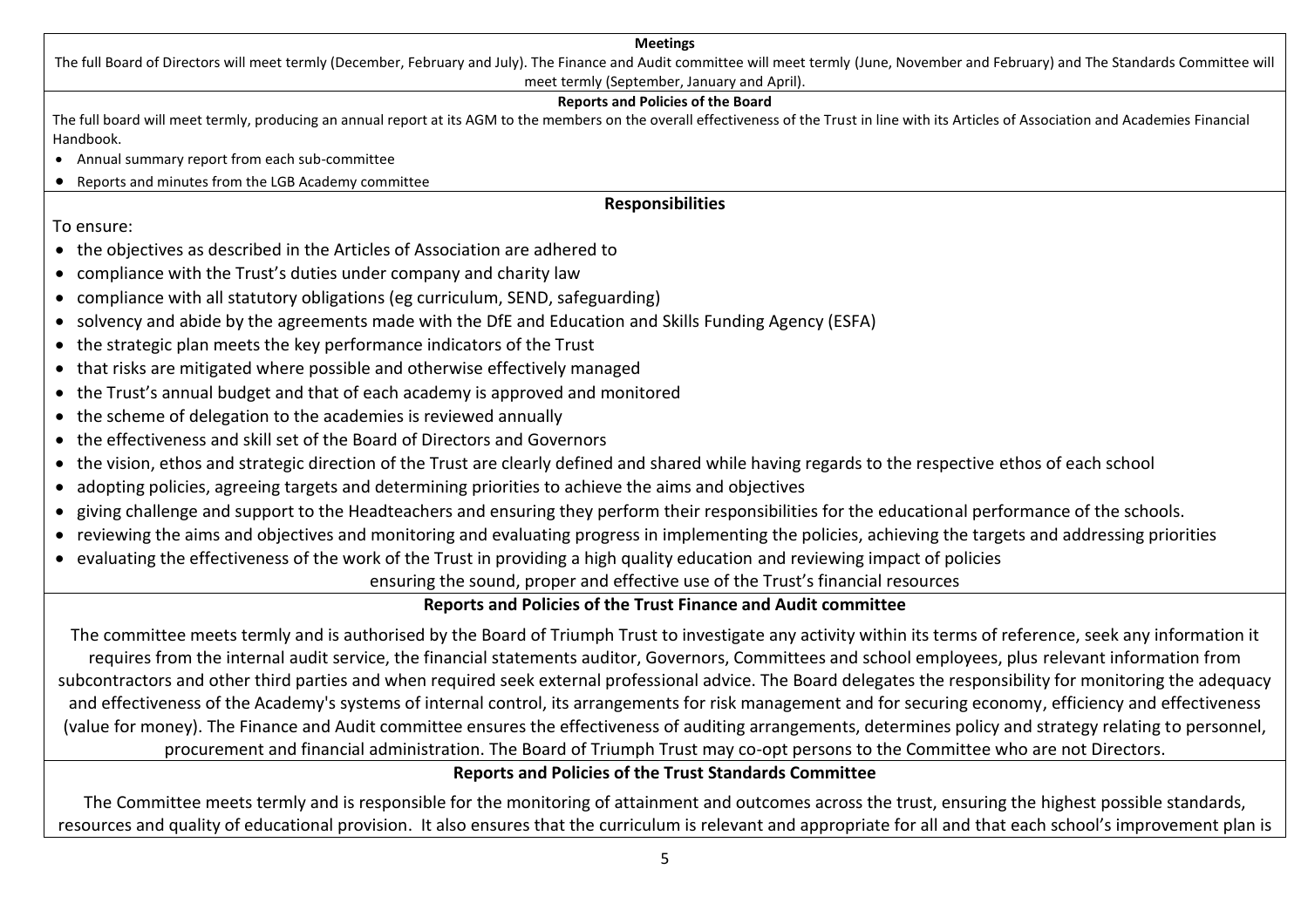## **Meetings** The full Board of Directors will meet termly (December, February and July). The Finance and Audit committee will meet termly (June, November and February) and The Standards Committee will meet termly (September, January and April). **Reports and Policies of the Board** The full board will meet termly, producing an annual report at its AGM to the members on the overall effectiveness of the Trust in line with its Articles of Association and Academies Financial Handbook. • Annual summary report from each sub-committee • Reports and minutes from the LGB Academy committee **Responsibilities** To ensure: • the objectives as described in the Articles of Association are adhered to • compliance with the Trust's duties under company and charity law • compliance with all statutory obligations (eg curriculum, SEND, safeguarding) • solvency and abide by the agreements made with the DfE and Education and Skills Funding Agency (ESFA) • the strategic plan meets the key performance indicators of the Trust • that risks are mitigated where possible and otherwise effectively managed • the Trust's annual budget and that of each academy is approved and monitored • the scheme of delegation to the academies is reviewed annually • the effectiveness and skill set of the Board of Directors and Governors

- the vision, ethos and strategic direction of the Trust are clearly defined and shared while having regards to the respective ethos of each school
- adopting policies, agreeing targets and determining priorities to achieve the aims and objectives
- giving challenge and support to the Headteachers and ensuring they perform their responsibilities for the educational performance of the schools.
- reviewing the aims and objectives and monitoring and evaluating progress in implementing the policies, achieving the targets and addressing priorities
- evaluating the effectiveness of the work of the Trust in providing a high quality education and reviewing impact of policies

ensuring the sound, proper and effective use of the Trust's financial resources

## **Reports and Policies of the Trust Finance and Audit committee**

The committee meets termly and is authorised by the Board of Triumph Trust to investigate any activity within its terms of reference, seek any information it requires from the internal audit service, the financial statements auditor, Governors, Committees and school employees, plus relevant information from subcontractors and other third parties and when required seek external professional advice. The Board delegates the responsibility for monitoring the adequacy and effectiveness of the Academy's systems of internal control, its arrangements for risk management and for securing economy, efficiency and effectiveness (value for money). The Finance and Audit committee ensures the effectiveness of auditing arrangements, determines policy and strategy relating to personnel, procurement and financial administration. The Board of Triumph Trust may co-opt persons to the Committee who are not Directors.

## **Reports and Policies of the Trust Standards Committee**

The Committee meets termly and is responsible for the monitoring of attainment and outcomes across the trust, ensuring the highest possible standards, resources and quality of educational provision. It also ensures that the curriculum is relevant and appropriate for all and that each school's improvement plan is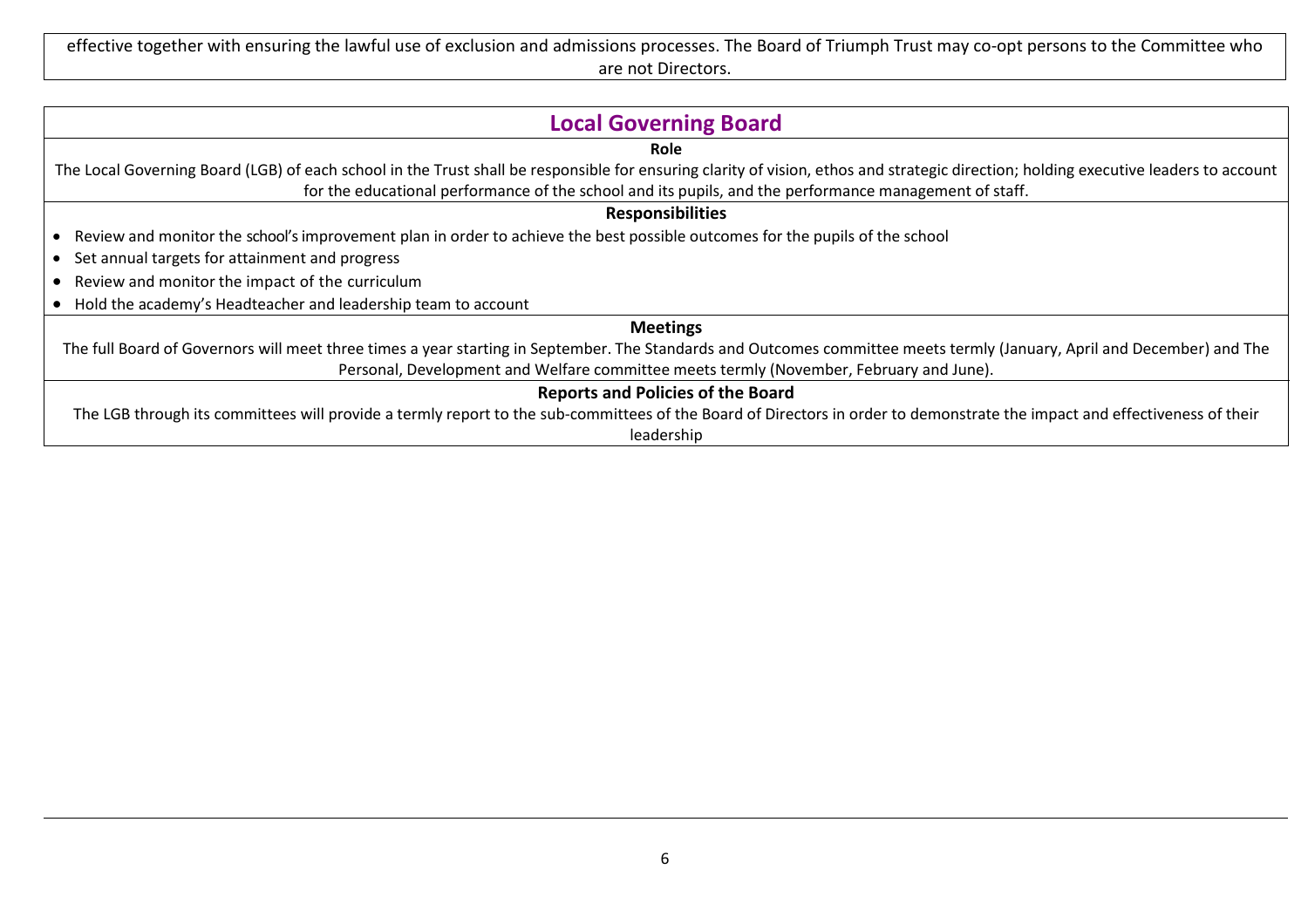effective together with ensuring the lawful use of exclusion and admissions processes. The Board of Triumph Trust may co-opt persons to the Committee who are not Directors.

| <b>Local Governing Board</b>                                                                                                                                                         |  |  |  |  |
|--------------------------------------------------------------------------------------------------------------------------------------------------------------------------------------|--|--|--|--|
| <b>Role</b>                                                                                                                                                                          |  |  |  |  |
| The Local Governing Board (LGB) of each school in the Trust shall be responsible for ensuring clarity of vision, ethos and strategic direction; holding executive leaders to account |  |  |  |  |
| for the educational performance of the school and its pupils, and the performance management of staff.                                                                               |  |  |  |  |
| <b>Responsibilities</b>                                                                                                                                                              |  |  |  |  |
| Review and monitor the school's improvement plan in order to achieve the best possible outcomes for the pupils of the school                                                         |  |  |  |  |
| • Set annual targets for attainment and progress                                                                                                                                     |  |  |  |  |
| Review and monitor the impact of the curriculum                                                                                                                                      |  |  |  |  |
| Hold the academy's Headteacher and leadership team to account                                                                                                                        |  |  |  |  |
| <b>Meetings</b>                                                                                                                                                                      |  |  |  |  |
| The full Board of Governors will meet three times a year starting in September. The Standards and Outcomes committee meets termly (January, April and December) and The              |  |  |  |  |
| Personal, Development and Welfare committee meets termly (November, February and June).                                                                                              |  |  |  |  |
| <b>Reports and Policies of the Board</b>                                                                                                                                             |  |  |  |  |
| The LGB through its committees will provide a termly report to the sub-committees of the Board of Directors in order to demonstrate the impact and effectiveness of their            |  |  |  |  |
| leadership                                                                                                                                                                           |  |  |  |  |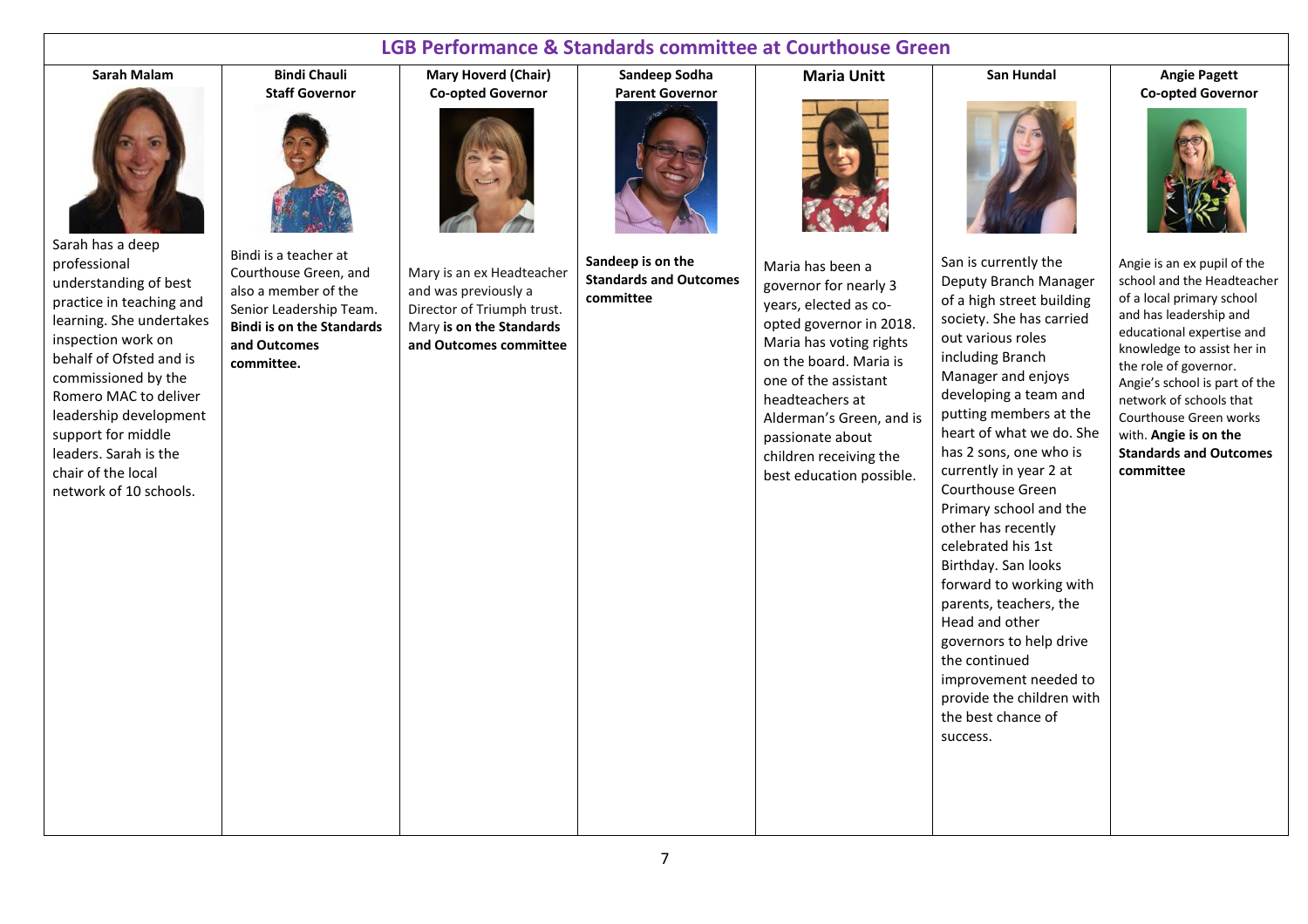## **LGB Performance & Standards committee at Courthouse Green Sandeep Sodha**

#### **Sarah Malam**



Sarah has a deep professional understanding of best practice in teaching and learning. She undertakes inspection work on behalf of Ofsted and is commissioned by the Romero MAC to deliver leadership development support for middle leaders. Sarah is the chair of the local network of 10 schools.



**Bindi Chauli**

Bindi is a teacher at Courthouse Green, and also a member of the Senior Leadership Team. **Bindi is on the Standards and Outcomes committee.**

**Mary Hoverd (Chair) Co-opted Governor**



Mary is an ex Headteacher and was previously a Director of Triumph trust. Mary **is on the Standards and Outcomes committee** **Parent Governor**

**Sandeep is on the Standards and Outcomes committee**

**Maria Unitt**

Maria has been a governor for nearly 3 years, elected as coopted governor in 2018. Maria has voting rights on the board. Maria is one of the assistant headteachers at Alderman's Green, and is passionate about children receiving the best education possible.

San is currently the Deputy Branch Manager of a high street building society. She has carried out various roles including Branch Manager and enjoys developing a team and putting members at the heart of what we do. She has 2 sons, one who is currently in year 2 at Courthouse Green Primary school and the other has recently celebrated his 1st Birthday. San looks forward to working with parents, teachers, the Head and other governors to help drive the continued improvement needed to provide the children with the best chance of success.

**San Hundal**

**Angie Pagett Co-opted Governor**



Angie is an ex pupil of the school and the Headteacher of a local primary school and has leadership and educational expertise and knowledge to assist her in the role of governor. Angie's school is part of the network of schools that Courthouse Green works with. **Angie is on the Standards and Outcomes committee**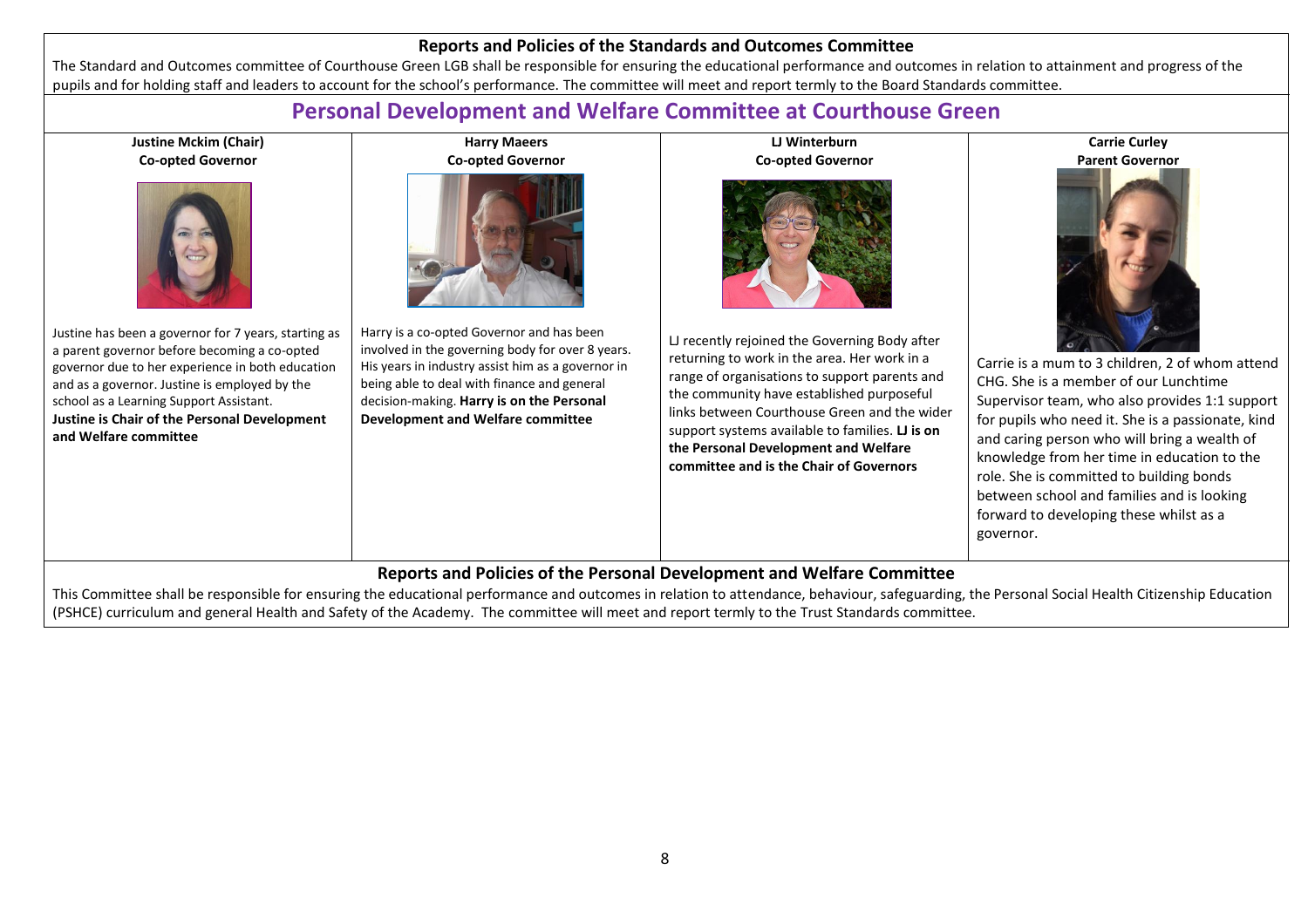#### **Reports and Policies of the Standards and Outcomes Committee**

The Standard and Outcomes committee of Courthouse Green LGB shall be responsible for ensuring the educational performance and outcomes in relation to attainment and progress of the pupils and for holding staff and leaders to account for the school's performance. The committee will meet and report termly to the Board Standards committee.

## **Personal Development and Welfare Committee at Courthouse Green**

| <b>Justine Mckim (Chair)</b>                                                                                                                                                                                                                                                                                                  | <b>Harry Maeers</b>                                                                                                                                                                                                                                                                 | <b>LI Winterburn</b>                                                                                                                                                                                                                                                                                                                                                                                         | <b>Carrie Curley</b>                                                                                                                                                                                                                                                                                                                                                                                                                             |  |  |  |  |
|-------------------------------------------------------------------------------------------------------------------------------------------------------------------------------------------------------------------------------------------------------------------------------------------------------------------------------|-------------------------------------------------------------------------------------------------------------------------------------------------------------------------------------------------------------------------------------------------------------------------------------|--------------------------------------------------------------------------------------------------------------------------------------------------------------------------------------------------------------------------------------------------------------------------------------------------------------------------------------------------------------------------------------------------------------|--------------------------------------------------------------------------------------------------------------------------------------------------------------------------------------------------------------------------------------------------------------------------------------------------------------------------------------------------------------------------------------------------------------------------------------------------|--|--|--|--|
| <b>Co-opted Governor</b>                                                                                                                                                                                                                                                                                                      | <b>Co-opted Governor</b>                                                                                                                                                                                                                                                            |                                                                                                                                                                                                                                                                                                                                                                                                              | <b>Parent Governor</b>                                                                                                                                                                                                                                                                                                                                                                                                                           |  |  |  |  |
| Justine has been a governor for 7 years, starting as<br>a parent governor before becoming a co-opted<br>governor due to her experience in both education<br>and as a governor. Justine is employed by the<br>school as a Learning Support Assistant.<br>Justine is Chair of the Personal Development<br>and Welfare committee | Harry is a co-opted Governor and has been<br>involved in the governing body for over 8 years.<br>His years in industry assist him as a governor in<br>being able to deal with finance and general<br>decision-making. Harry is on the Personal<br>Development and Welfare committee | <b>Co-opted Governor</b><br>LJ recently rejoined the Governing Body after<br>returning to work in the area. Her work in a<br>range of organisations to support parents and<br>the community have established purposeful<br>links between Courthouse Green and the wider<br>support systems available to families. L is on<br>the Personal Development and Welfare<br>committee and is the Chair of Governors | Carrie is a mum to 3 children, 2 of whom attend<br>CHG. She is a member of our Lunchtime<br>Supervisor team, who also provides 1:1 support<br>for pupils who need it. She is a passionate, kind<br>and caring person who will bring a wealth of<br>knowledge from her time in education to the<br>role. She is committed to building bonds<br>between school and families and is looking<br>forward to developing these whilst as a<br>governor. |  |  |  |  |
| Reports and Policies of the Personal Development and Welfare Committee<br>the state of the state of the state of the state of the state of the state of the state of the state of the state of the state of the state of the state of the state of the state of the state of the state of the state of t                      |                                                                                                                                                                                                                                                                                     |                                                                                                                                                                                                                                                                                                                                                                                                              |                                                                                                                                                                                                                                                                                                                                                                                                                                                  |  |  |  |  |
|                                                                                                                                                                                                                                                                                                                               |                                                                                                                                                                                                                                                                                     |                                                                                                                                                                                                                                                                                                                                                                                                              |                                                                                                                                                                                                                                                                                                                                                                                                                                                  |  |  |  |  |

This Committee shall be responsible for ensuring the educational performance and outcomes in relation to attendance, behaviour, safeguarding, the Personal Social Health Citizenship Education (PSHCE) curriculum and general Health and Safety of the Academy. The committee will meet and report termly to the Trust Standards committee.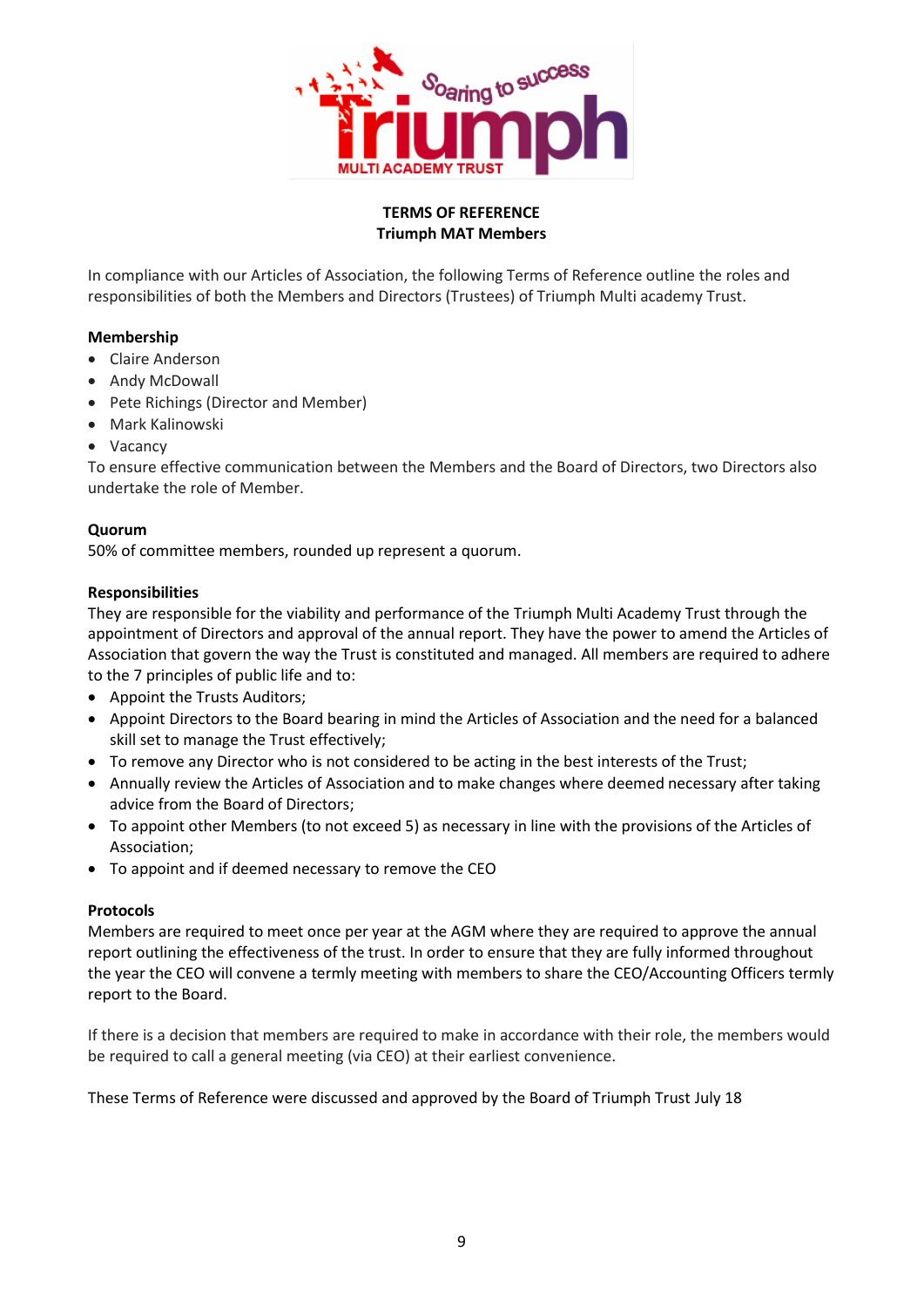

#### **TERMS OF REFERENCE Triumph MAT Members**

In compliance with our Articles of Association, the following Terms of Reference outline the roles and responsibilities of both the Members and Directors (Trustees) of Triumph Multi academy Trust.

#### **Membership**

- Claire Anderson
- Andy McDowall
- Pete Richings (Director and Member)
- Mark Kalinowski
- Vacancy

To ensure effective communication between the Members and the Board of Directors, two Directors also undertake the role of Member.

#### **Quorum**

50% of committee members, rounded up represent a quorum.

#### **Responsibilities**

They are responsible for the viability and performance of the Triumph Multi Academy Trust through the appointment of Directors and approval of the annual report. They have the power to amend the Articles of Association that govern the way the Trust is constituted and managed. All members are required to adhere to the 7 principles of public life and to:

- Appoint the Trusts Auditors;
- Appoint Directors to the Board bearing in mind the Articles of Association and the need for a balanced skill set to manage the Trust effectively;
- To remove any Director who is not considered to be acting in the best interests of the Trust;
- Annually review the Articles of Association and to make changes where deemed necessary after taking advice from the Board of Directors;
- To appoint other Members (to not exceed 5) as necessary in line with the provisions of the Articles of Association;
- To appoint and if deemed necessary to remove the CEO

#### **Protocols**

Members are required to meet once per year at the AGM where they are required to approve the annual report outlining the effectiveness of the trust. In order to ensure that they are fully informed throughout the year the CEO will convene a termly meeting with members to share the CEO/Accounting Officers termly report to the Board.

If there is a decision that members are required to make in accordance with their role, the members would be required to call a general meeting (via CEO) at their earliest convenience.

These Terms of Reference were discussed and approved by the Board of Triumph Trust July 18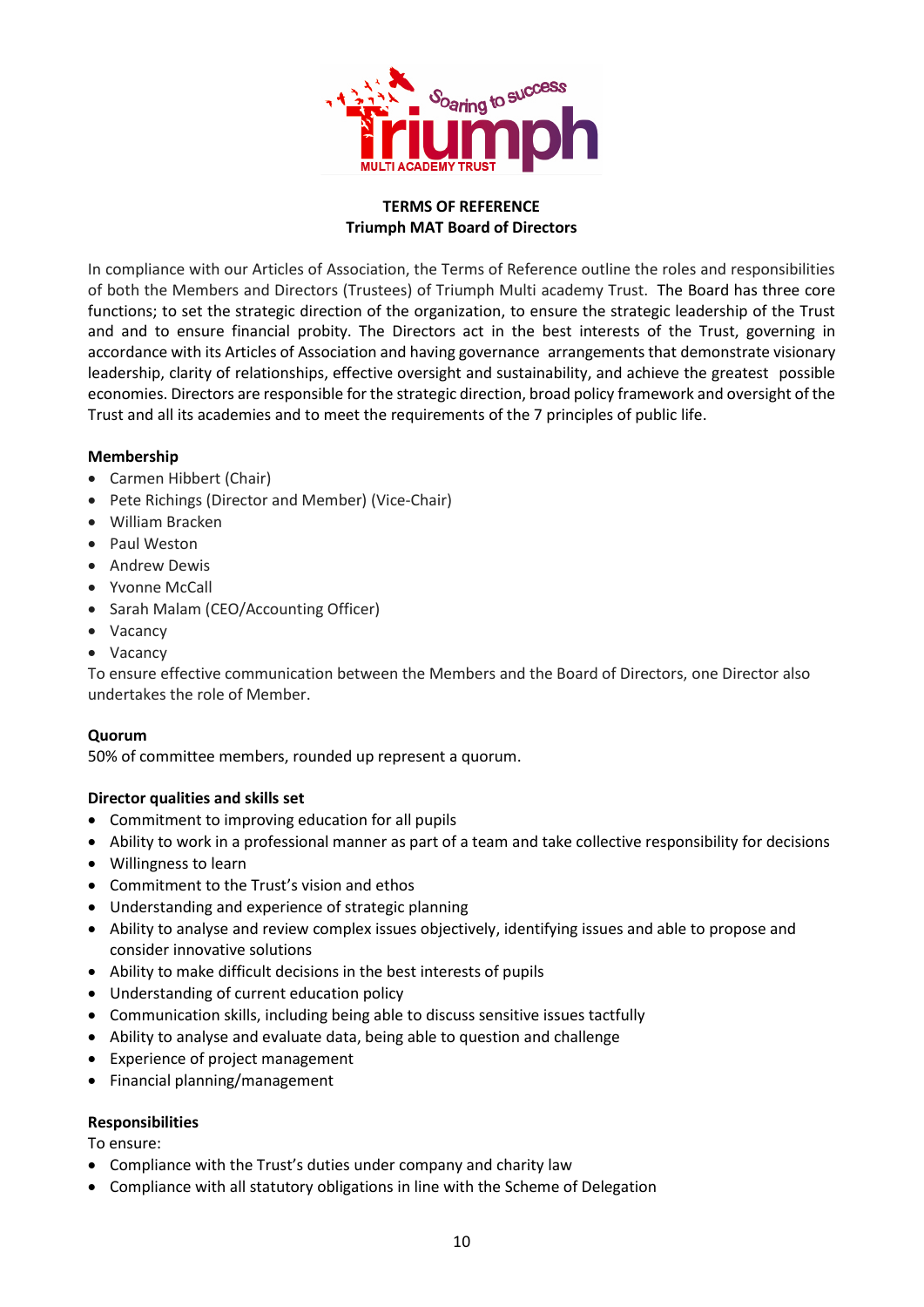

#### **TERMS OF REFERENCE Triumph MAT Board of Directors**

In compliance with our Articles of Association, the Terms of Reference outline the roles and responsibilities of both the Members and Directors (Trustees) of Triumph Multi academy Trust. The Board has three core functions; to set the strategic direction of the organization, to ensure the strategic leadership of the Trust and and to ensure financial probity. The Directors act in the best interests of the Trust, governing in accordance with its Articles of Association and having governance arrangements that demonstrate visionary leadership, clarity of relationships, effective oversight and sustainability, and achieve the greatest possible economies. Directors are responsible for the strategic direction, broad policy framework and oversight of the Trust and all its academies and to meet the requirements of the 7 principles of public life.

#### **Membership**

- Carmen Hibbert (Chair)
- Pete Richings (Director and Member) (Vice-Chair)
- William Bracken
- Paul Weston
- Andrew Dewis
- Yvonne McCall
- Sarah Malam (CEO/Accounting Officer)
- Vacancy
- Vacancy

To ensure effective communication between the Members and the Board of Directors, one Director also undertakes the role of Member.

#### **Quorum**

50% of committee members, rounded up represent a quorum.

#### **Director qualities and skills set**

- Commitment to improving education for all pupils
- Ability to work in a professional manner as part of a team and take collective responsibility for decisions
- Willingness to learn
- Commitment to the Trust's vision and ethos
- Understanding and experience of strategic planning
- Ability to analyse and review complex issues objectively, identifying issues and able to propose and consider innovative solutions
- Ability to make difficult decisions in the best interests of pupils
- Understanding of current education policy
- Communication skills, including being able to discuss sensitive issues tactfully
- Ability to analyse and evaluate data, being able to question and challenge
- Experience of project management
- Financial planning/management

#### **Responsibilities**

To ensure:

- Compliance with the Trust's duties under company and charity law
- Compliance with all statutory obligations in line with the Scheme of Delegation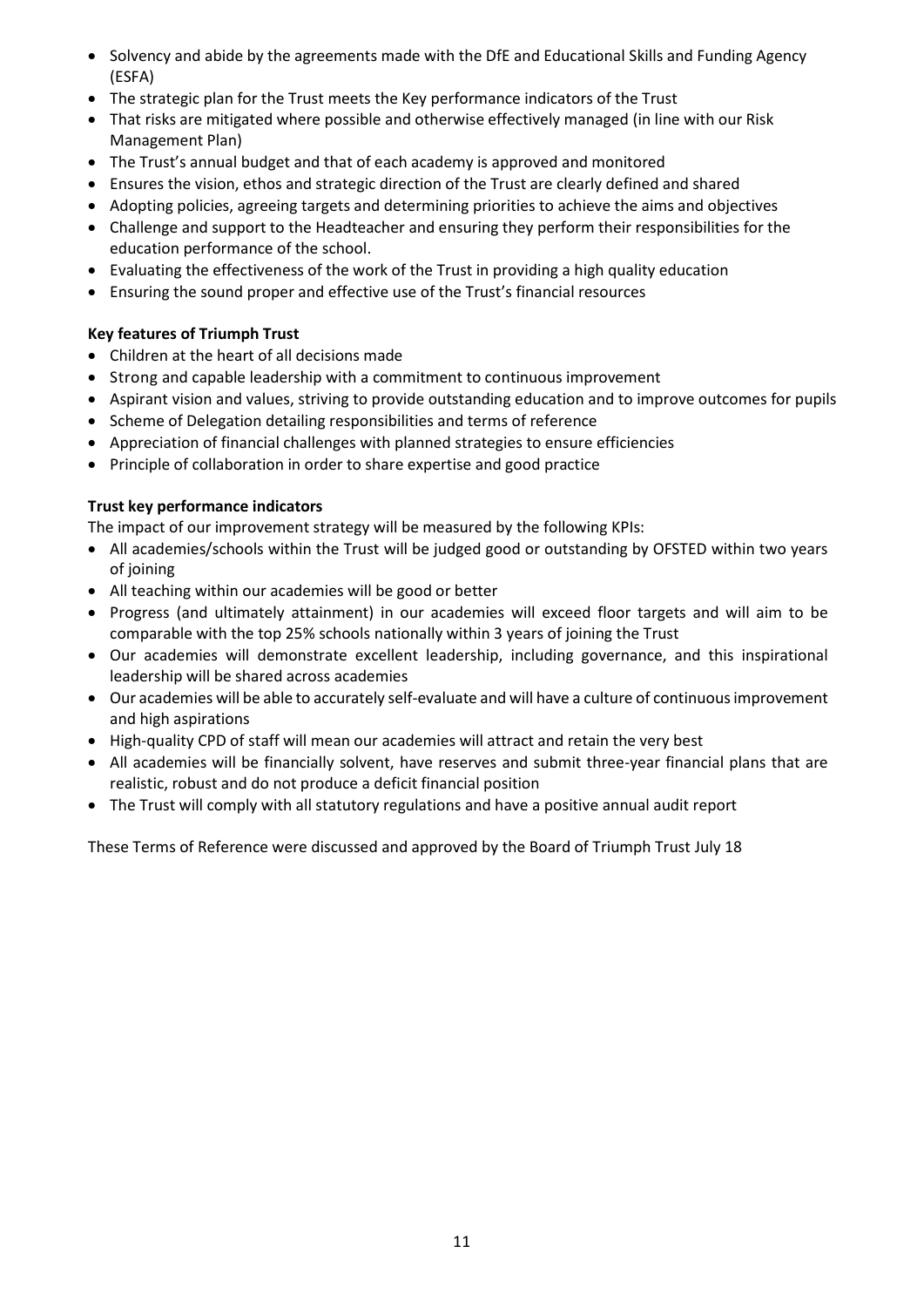- Solvency and abide by the agreements made with the DfE and Educational Skills and Funding Agency (ESFA)
- The strategic plan for the Trust meets the Key performance indicators of the Trust
- That risks are mitigated where possible and otherwise effectively managed (in line with our Risk Management Plan)
- The Trust's annual budget and that of each academy is approved and monitored
- Ensures the vision, ethos and strategic direction of the Trust are clearly defined and shared
- Adopting policies, agreeing targets and determining priorities to achieve the aims and objectives
- Challenge and support to the Headteacher and ensuring they perform their responsibilities for the education performance of the school.
- Evaluating the effectiveness of the work of the Trust in providing a high quality education
- Ensuring the sound proper and effective use of the Trust's financial resources

#### **Key features of Triumph Trust**

- Children at the heart of all decisions made
- Strong and capable leadership with a commitment to continuous improvement
- Aspirant vision and values, striving to provide outstanding education and to improve outcomes for pupils
- Scheme of Delegation detailing responsibilities and terms of reference
- Appreciation of financial challenges with planned strategies to ensure efficiencies
- Principle of collaboration in order to share expertise and good practice

#### **Trust key performance indicators**

The impact of our improvement strategy will be measured by the following KPIs:

- All academies/schools within the Trust will be judged good or outstanding by OFSTED within two years of joining
- All teaching within our academies will be good or better
- Progress (and ultimately attainment) in our academies will exceed floor targets and will aim to be comparable with the top 25% schools nationally within 3 years of joining the Trust
- Our academies will demonstrate excellent leadership, including governance, and this inspirational leadership will be shared across academies
- Our academies will be able to accurately self-evaluate and will have a culture of continuous improvement and high aspirations
- High-quality CPD of staff will mean our academies will attract and retain the very best
- All academies will be financially solvent, have reserves and submit three-year financial plans that are realistic, robust and do not produce a deficit financial position
- The Trust will comply with all statutory regulations and have a positive annual audit report

These Terms of Reference were discussed and approved by the Board of Triumph Trust July 18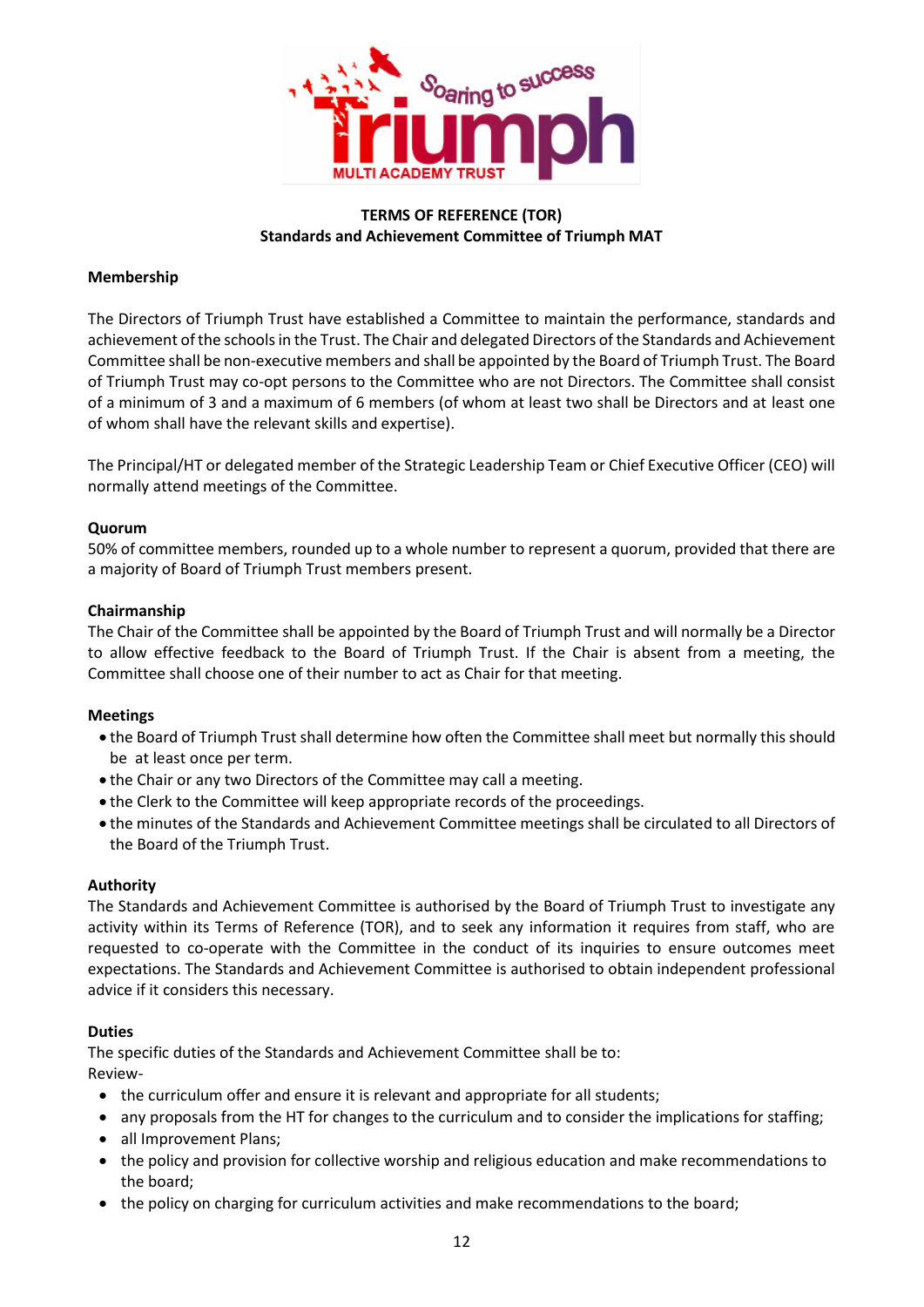

#### **TERMS OF REFERENCE (TOR) Standards and Achievement Committee of Triumph MAT**

#### **Membership**

The Directors of Triumph Trust have established a Committee to maintain the performance, standards and achievement of the schools in the Trust. The Chair and delegated Directors of the Standards and Achievement Committee shall be non-executive members and shall be appointed by the Board of Triumph Trust. The Board of Triumph Trust may co-opt persons to the Committee who are not Directors. The Committee shall consist of a minimum of 3 and a maximum of 6 members (of whom at least two shall be Directors and at least one of whom shall have the relevant skills and expertise).

The Principal/HT or delegated member of the Strategic Leadership Team or Chief Executive Officer (CEO) will normally attend meetings of the Committee.

#### **Quorum**

50% of committee members, rounded up to a whole number to represent a quorum, provided that there are a majority of Board of Triumph Trust members present.

#### **Chairmanship**

The Chair of the Committee shall be appointed by the Board of Triumph Trust and will normally be a Director to allow effective feedback to the Board of Triumph Trust. If the Chair is absent from a meeting, the Committee shall choose one of their number to act as Chair for that meeting.

#### **Meetings**

- the Board of Triumph Trust shall determine how often the Committee shall meet but normally this should be at least once per term.
- the Chair or any two Directors of the Committee may call a meeting.
- the Clerk to the Committee will keep appropriate records of the proceedings.
- the minutes of the Standards and Achievement Committee meetings shall be circulated to all Directors of the Board of the Triumph Trust.

#### **Authority**

The Standards and Achievement Committee is authorised by the Board of Triumph Trust to investigate any activity within its Terms of Reference (TOR), and to seek any information it requires from staff, who are requested to co-operate with the Committee in the conduct of its inquiries to ensure outcomes meet expectations. The Standards and Achievement Committee is authorised to obtain independent professional advice if it considers this necessary.

#### **Duties**

The specific duties of the Standards and Achievement Committee shall be to: Review-

- the curriculum offer and ensure it is relevant and appropriate for all students;
- any proposals from the HT for changes to the curriculum and to consider the implications for staffing;
- all Improvement Plans;
- the policy and provision for collective worship and religious education and make recommendations to the board;
- the policy on charging for curriculum activities and make recommendations to the board;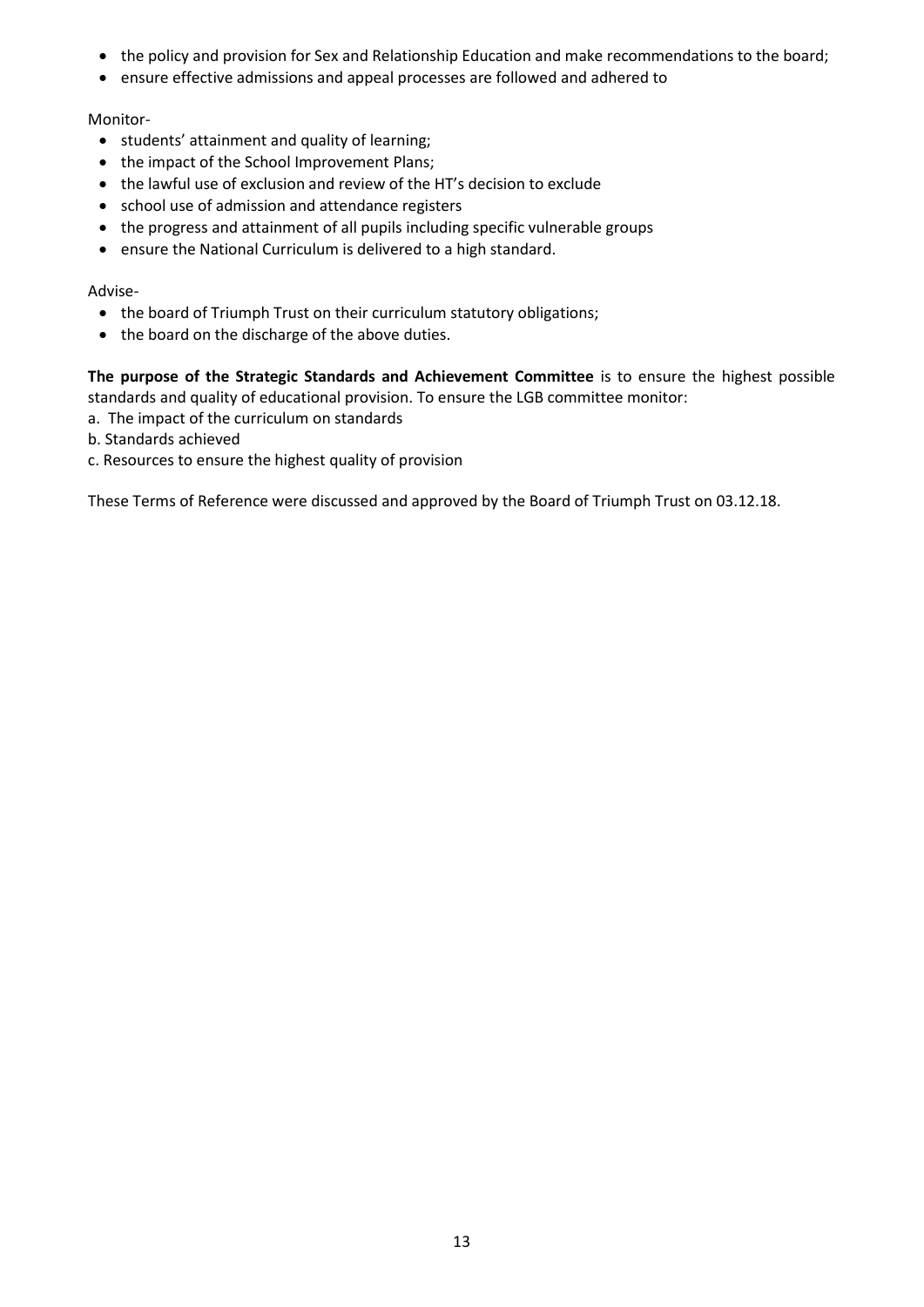- the policy and provision for Sex and Relationship Education and make recommendations to the board;
- ensure effective admissions and appeal processes are followed and adhered to

#### Monitor-

- students' attainment and quality of learning;
- the impact of the School Improvement Plans;
- the lawful use of exclusion and review of the HT's decision to exclude
- school use of admission and attendance registers
- the progress and attainment of all pupils including specific vulnerable groups
- ensure the National Curriculum is delivered to a high standard.

#### Advise-

- the board of Triumph Trust on their curriculum statutory obligations;
- the board on the discharge of the above duties.

**The purpose of the Strategic Standards and Achievement Committee** is to ensure the highest possible standards and quality of educational provision. To ensure the LGB committee monitor:

- a. The impact of the curriculum on standards
- b. Standards achieved
- c. Resources to ensure the highest quality of provision

These Terms of Reference were discussed and approved by the Board of Triumph Trust on 03.12.18.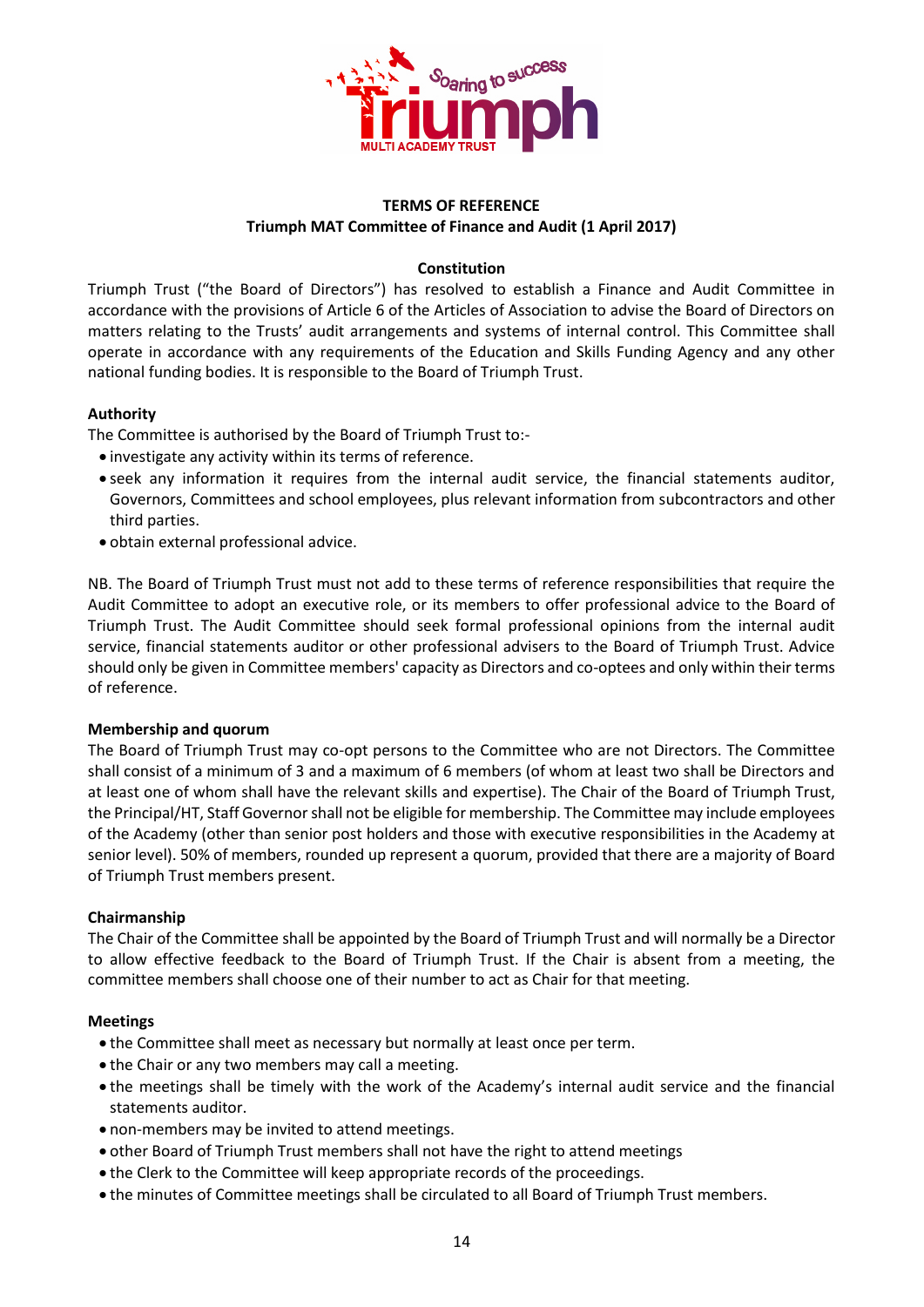

#### **TERMS OF REFERENCE Triumph MAT Committee of Finance and Audit (1 April 2017)**

#### **Constitution**

Triumph Trust ("the Board of Directors") has resolved to establish a Finance and Audit Committee in accordance with the provisions of Article 6 of the Articles of Association to advise the Board of Directors on matters relating to the Trusts' audit arrangements and systems of internal control. This Committee shall operate in accordance with any requirements of the Education and Skills Funding Agency and any other national funding bodies. It is responsible to the Board of Triumph Trust.

#### **Authority**

The Committee is authorised by the Board of Triumph Trust to:-

- investigate any activity within its terms of reference.
- seek any information it requires from the internal audit service, the financial statements auditor, Governors, Committees and school employees, plus relevant information from subcontractors and other third parties.
- obtain external professional advice.

NB. The Board of Triumph Trust must not add to these terms of reference responsibilities that require the Audit Committee to adopt an executive role, or its members to offer professional advice to the Board of Triumph Trust. The Audit Committee should seek formal professional opinions from the internal audit service, financial statements auditor or other professional advisers to the Board of Triumph Trust. Advice should only be given in Committee members' capacity as Directors and co-optees and only within their terms of reference.

#### **Membership and quorum**

The Board of Triumph Trust may co-opt persons to the Committee who are not Directors. The Committee shall consist of a minimum of 3 and a maximum of 6 members (of whom at least two shall be Directors and at least one of whom shall have the relevant skills and expertise). The Chair of the Board of Triumph Trust, the Principal/HT, Staff Governor shall not be eligible for membership. The Committee may include employees of the Academy (other than senior post holders and those with executive responsibilities in the Academy at senior level). 50% of members, rounded up represent a quorum, provided that there are a majority of Board of Triumph Trust members present.

#### **Chairmanship**

The Chair of the Committee shall be appointed by the Board of Triumph Trust and will normally be a Director to allow effective feedback to the Board of Triumph Trust. If the Chair is absent from a meeting, the committee members shall choose one of their number to act as Chair for that meeting.

#### **Meetings**

- the Committee shall meet as necessary but normally at least once per term.
- the Chair or any two members may call a meeting.
- the meetings shall be timely with the work of the Academy's internal audit service and the financial statements auditor.
- non-members may be invited to attend meetings.
- other Board of Triumph Trust members shall not have the right to attend meetings
- the Clerk to the Committee will keep appropriate records of the proceedings.
- the minutes of Committee meetings shall be circulated to all Board of Triumph Trust members.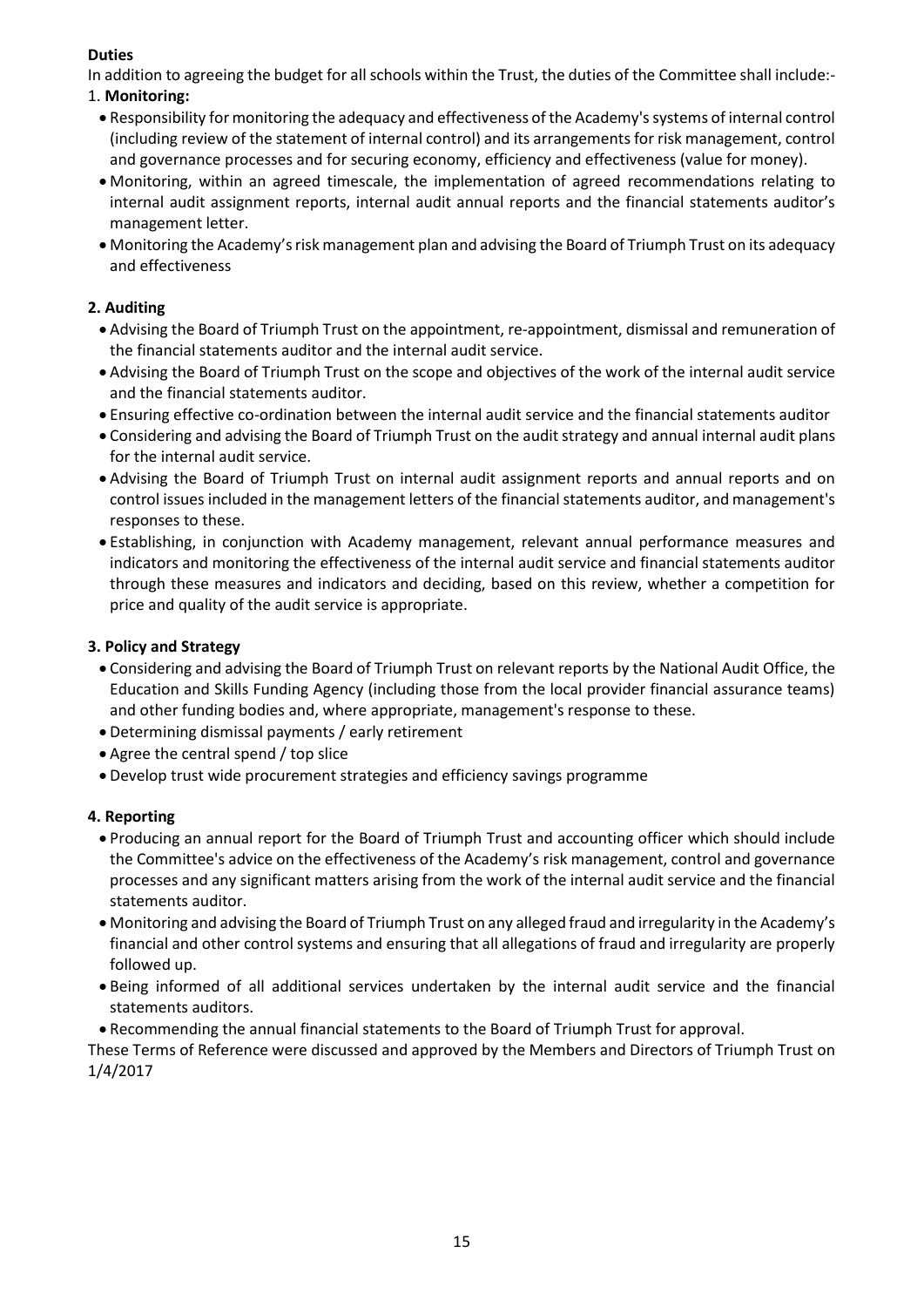## **Duties**

In addition to agreeing the budget for all schools within the Trust, the duties of the Committee shall include:-

## 1. **Monitoring:**

- Responsibility for monitoring the adequacy and effectiveness of the Academy's systems of internal control (including review of the statement of internal control) and its arrangements for risk management, control and governance processes and for securing economy, efficiency and effectiveness (value for money).
- Monitoring, within an agreed timescale, the implementation of agreed recommendations relating to internal audit assignment reports, internal audit annual reports and the financial statements auditor's management letter.
- Monitoring the Academy's risk management plan and advising the Board of Triumph Trust on its adequacy and effectiveness

## **2. Auditing**

- Advising the Board of Triumph Trust on the appointment, re-appointment, dismissal and remuneration of the financial statements auditor and the internal audit service.
- Advising the Board of Triumph Trust on the scope and objectives of the work of the internal audit service and the financial statements auditor.
- Ensuring effective co-ordination between the internal audit service and the financial statements auditor
- Considering and advising the Board of Triumph Trust on the audit strategy and annual internal audit plans for the internal audit service.
- Advising the Board of Triumph Trust on internal audit assignment reports and annual reports and on control issues included in the management letters of the financial statements auditor, and management's responses to these.
- Establishing, in conjunction with Academy management, relevant annual performance measures and indicators and monitoring the effectiveness of the internal audit service and financial statements auditor through these measures and indicators and deciding, based on this review, whether a competition for price and quality of the audit service is appropriate.

## **3. Policy and Strategy**

- Considering and advising the Board of Triumph Trust on relevant reports by the National Audit Office, the Education and Skills Funding Agency (including those from the local provider financial assurance teams) and other funding bodies and, where appropriate, management's response to these.
- Determining dismissal payments / early retirement
- Agree the central spend / top slice
- Develop trust wide procurement strategies and efficiency savings programme

## **4. Reporting**

- Producing an annual report for the Board of Triumph Trust and accounting officer which should include the Committee's advice on the effectiveness of the Academy's risk management, control and governance processes and any significant matters arising from the work of the internal audit service and the financial statements auditor.
- Monitoring and advising the Board of Triumph Trust on any alleged fraud and irregularity in the Academy's financial and other control systems and ensuring that all allegations of fraud and irregularity are properly followed up.
- Being informed of all additional services undertaken by the internal audit service and the financial statements auditors.
- Recommending the annual financial statements to the Board of Triumph Trust for approval.

These Terms of Reference were discussed and approved by the Members and Directors of Triumph Trust on 1/4/2017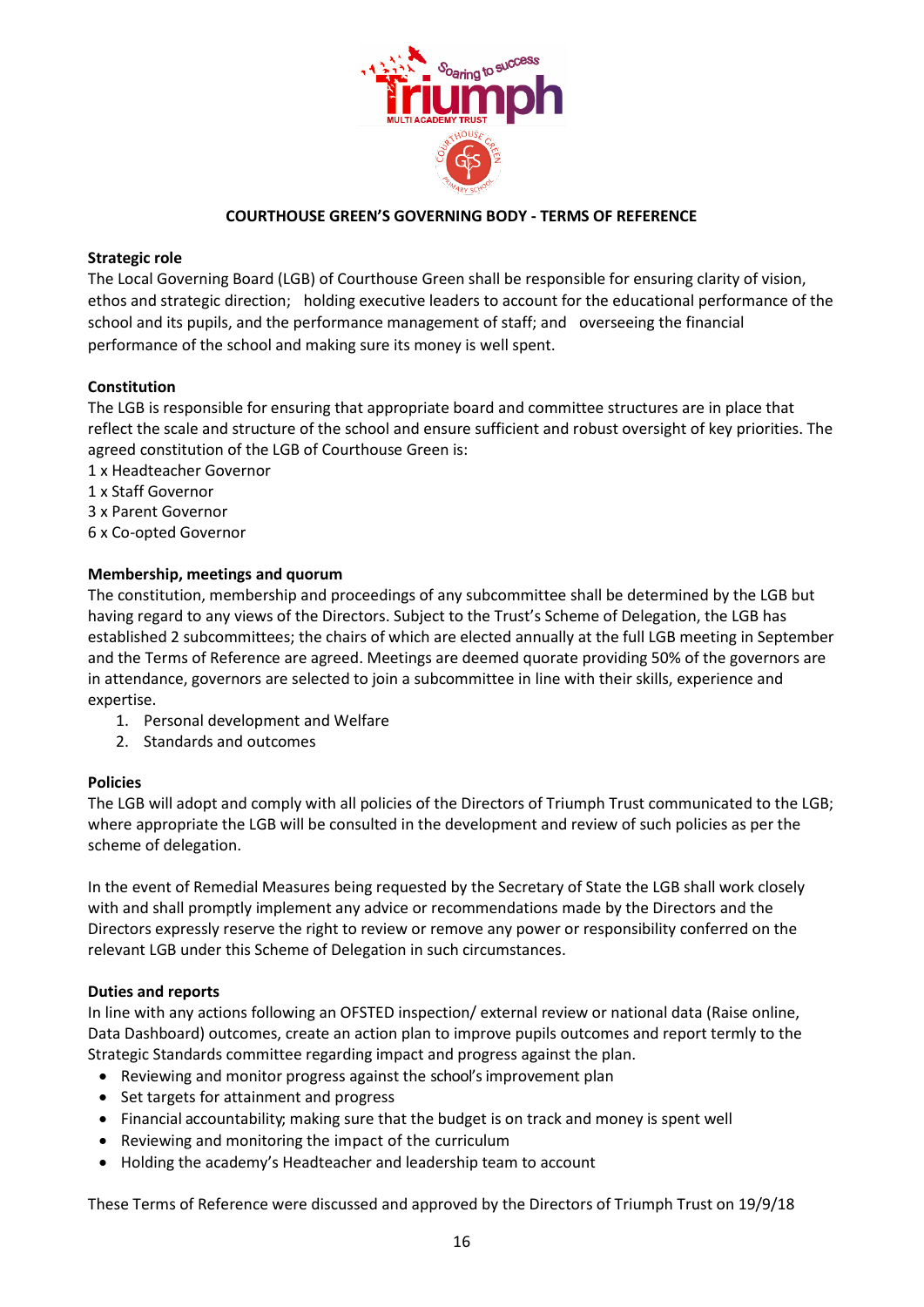

#### **COURTHOUSE GREEN'S GOVERNING BODY - TERMS OF REFERENCE**

#### **Strategic role**

The Local Governing Board (LGB) of Courthouse Green shall be responsible for ensuring clarity of vision, ethos and strategic direction; holding executive leaders to account for the educational performance of the school and its pupils, and the performance management of staff; and overseeing the financial performance of the school and making sure its money is well spent.

#### **Constitution**

The LGB is responsible for ensuring that appropriate board and committee structures are in place that reflect the scale and structure of the school and ensure sufficient and robust oversight of key priorities. The agreed constitution of the LGB of Courthouse Green is:

- 1 x Headteacher Governor
- 1 x Staff Governor
- 3 x Parent Governor
- 6 x Co-opted Governor

#### **Membership, meetings and quorum**

The constitution, membership and proceedings of any subcommittee shall be determined by the LGB but having regard to any views of the Directors. Subject to the Trust's Scheme of Delegation, the LGB has established 2 subcommittees; the chairs of which are elected annually at the full LGB meeting in September and the Terms of Reference are agreed. Meetings are deemed quorate providing 50% of the governors are in attendance, governors are selected to join a subcommittee in line with their skills, experience and expertise.

- 1. Personal development and Welfare
- 2. Standards and outcomes

#### **Policies**

The LGB will adopt and comply with all policies of the Directors of Triumph Trust communicated to the LGB; where appropriate the LGB will be consulted in the development and review of such policies as per the scheme of delegation.

In the event of Remedial Measures being requested by the Secretary of State the LGB shall work closely with and shall promptly implement any advice or recommendations made by the Directors and the Directors expressly reserve the right to review or remove any power or responsibility conferred on the relevant LGB under this Scheme of Delegation in such circumstances.

#### **Duties and reports**

In line with any actions following an OFSTED inspection/ external review or national data (Raise online, Data Dashboard) outcomes, create an action plan to improve pupils outcomes and report termly to the Strategic Standards committee regarding impact and progress against the plan.

- Reviewing and monitor progress against the school's improvement plan
- Set targets for attainment and progress
- Financial accountability; making sure that the budget is on track and money is spent well
- Reviewing and monitoring the impact of the curriculum
- Holding the academy's Headteacher and leadership team to account

These Terms of Reference were discussed and approved by the Directors of Triumph Trust on 19/9/18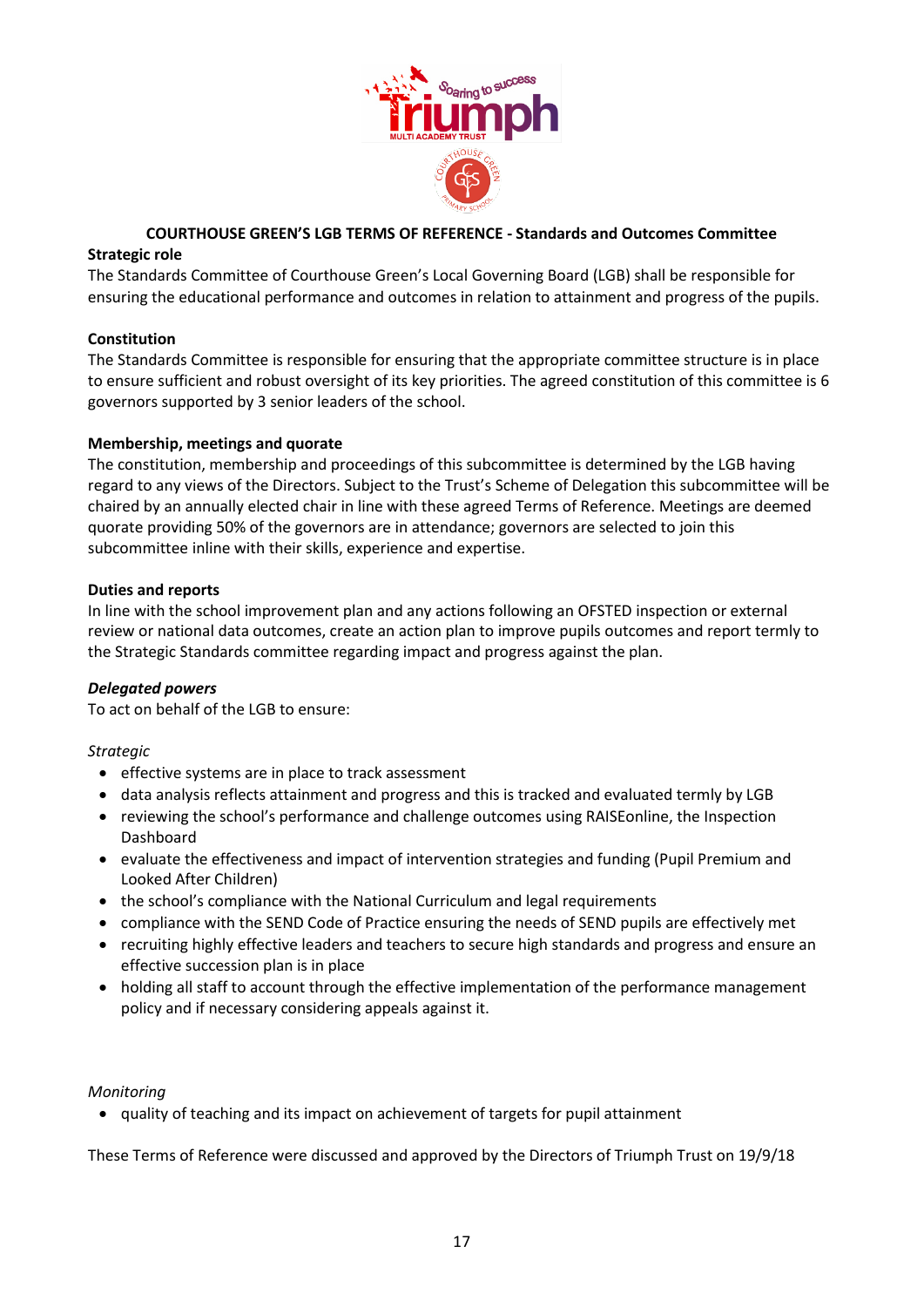

#### **COURTHOUSE GREEN'S LGB TERMS OF REFERENCE - Standards and Outcomes Committee**

#### **Strategic role**

The Standards Committee of Courthouse Green's Local Governing Board (LGB) shall be responsible for ensuring the educational performance and outcomes in relation to attainment and progress of the pupils.

#### **Constitution**

The Standards Committee is responsible for ensuring that the appropriate committee structure is in place to ensure sufficient and robust oversight of its key priorities. The agreed constitution of this committee is 6 governors supported by 3 senior leaders of the school.

#### **Membership, meetings and quorate**

The constitution, membership and proceedings of this subcommittee is determined by the LGB having regard to any views of the Directors. Subject to the Trust's Scheme of Delegation this subcommittee will be chaired by an annually elected chair in line with these agreed Terms of Reference. Meetings are deemed quorate providing 50% of the governors are in attendance; governors are selected to join this subcommittee inline with their skills, experience and expertise.

#### **Duties and reports**

In line with the school improvement plan and any actions following an OFSTED inspection or external review or national data outcomes, create an action plan to improve pupils outcomes and report termly to the Strategic Standards committee regarding impact and progress against the plan.

#### *Delegated powers*

To act on behalf of the LGB to ensure:

#### *Strategic*

- effective systems are in place to track assessment
- data analysis reflects attainment and progress and this is tracked and evaluated termly by LGB
- reviewing the school's performance and challenge outcomes using RAISEonline, the Inspection Dashboard
- evaluate the effectiveness and impact of intervention strategies and funding (Pupil Premium and Looked After Children)
- the school's compliance with the National Curriculum and legal requirements
- compliance with the SEND Code of Practice ensuring the needs of SEND pupils are effectively met
- recruiting highly effective leaders and teachers to secure high standards and progress and ensure an effective succession plan is in place
- holding all staff to account through the effective implementation of the performance management policy and if necessary considering appeals against it.

#### *Monitoring*

• quality of teaching and its impact on achievement of targets for pupil attainment

These Terms of Reference were discussed and approved by the Directors of Triumph Trust on 19/9/18